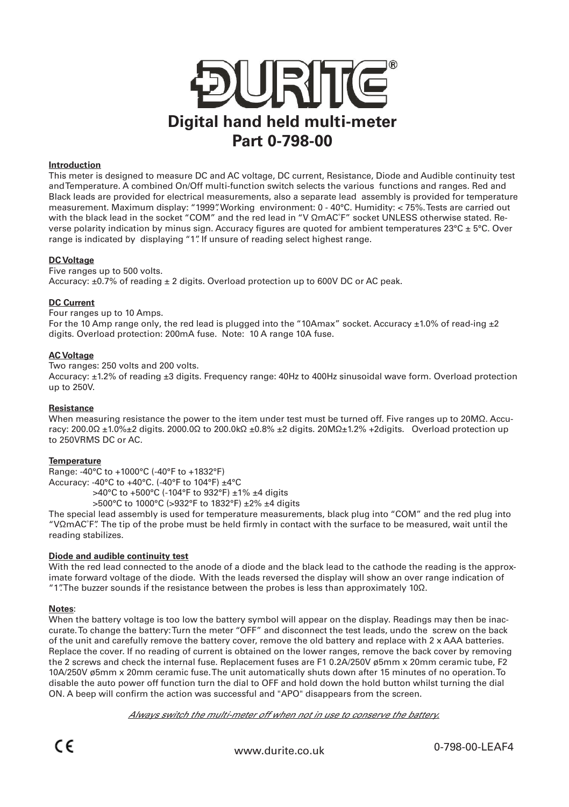

## **Introduction**

This meter is designed to measure DC and AC voltage, DC current, Resistance, Diode and Audible continuity test and Temperature. A combined On/Off multi-function switch selects the various functions and ranges. Red and Black leads are provided for electrical measurements, also a separate lead assembly is provided for temperature measurement. Maximum display: "1999". Working environment: 0 - 40°C. Humidity: < 75%. Tests are carried out with the black lead in the socket "COM" and the red lead in "V ΩmAC˚F" socket UNLESS otherwise stated. Reverse polarity indication by minus sign. Accuracy figures are quoted for ambient temperatures 23°C ± 5°C. Over range is indicated by displaying "1". If unsure of reading select highest range.

## **DC Voltage**

Five ranges up to 500 volts.

Accuracy:  $\pm$ 0.7% of reading  $\pm$  2 digits. Overload protection up to 600V DC or AC peak.

### **DC Current**

Four ranges up to 10 Amps.

For the 10 Amp range only, the red lead is plugged into the "10Amax" socket. Accuracy  $\pm 1.0\%$  of read-ing  $\pm 2$ digits. Overload protection: 200mA fuse. Note: 10 A range 10A fuse.

### **AC Voltage**

Two ranges: 250 volts and 200 volts.

Accuracy: ±1.2% of reading ±3 digits. Frequency range: 40Hz to 400Hz sinusoidal wave form. Overload protection up to 250V.

### **Resistance**

When measuring resistance the power to the item under test must be turned off. Five ranges up to 20MΩ. Accuracy: 200.0Ω ±1.0%±2 digits. 2000.0Ω to 200.0kΩ ±0.8% ±2 digits. 20MΩ±1.2% +2digits. Overload protection up to 250VRMS DC or AC.

# **Temperature**

Range: -40°C to +1000°C (-40°F to +1832°F)

Accuracy: -40°C to +40°C. (-40°F to 104°F) ±4°C

>40°C to +500°C (-104°F to 932°F) ±1% ±4 digits

>500°C to 1000°C (>932°F to 1832°F) ±2% ±4 digits

The special lead assembly is used for temperature measurements, black plug into "COM" and the red plug into "VΩmAC˚F". The tip of the probe must be held firmly in contact with the surface to be measured, wait until the reading stabilizes.

# **Diode and audible continuity test**

With the red lead connected to the anode of a diode and the black lead to the cathode the reading is the approximate forward voltage of the diode. With the leads reversed the display will show an over range indication of "1". The buzzer sounds if the resistance between the probes is less than approximately 10Ω.

# **Notes**:

When the battery voltage is too low the battery symbol will appear on the display. Readings may then be inaccurate. To change the battery: Turn the meter "OFF" and disconnect the test leads, undo the screw on the back of the unit and carefully remove the battery cover, remove the old battery and replace with 2 x AAA batteries. Replace the cover. If no reading of current is obtained on the lower ranges, remove the back cover by removing the 2 screws and check the internal fuse. Replacement fuses are F1 0.2A/250V ø5mm x 20mm ceramic tube, F2 10A/250V ø5mm x 20mm ceramic fuse. The unit automatically shuts down after 15 minutes of no operation. To disable the auto power off function turn the dial to OFF and hold down the hold button whilst turning the dial ON. A beep will confirm the action was successful and "APO" disappears from the screen.

Always switch the multi-meter off when not in use to conserve the battery.